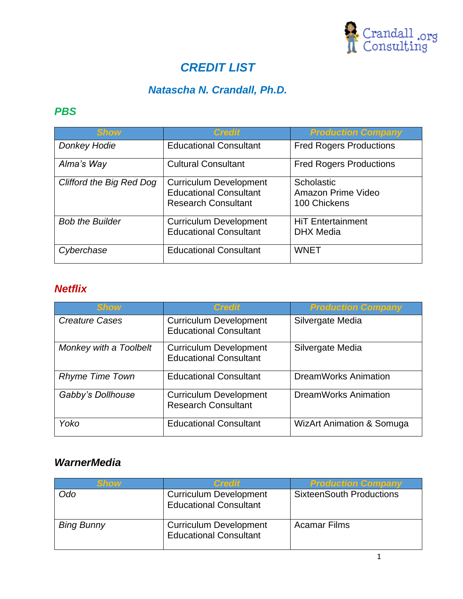

# *CREDIT LIST*

## *Natascha N. Crandall, Ph.D.*

## *PBS*

| <b>Show</b>                     | <b>Credit</b>                                                                                | <b>Production Company</b>                        |
|---------------------------------|----------------------------------------------------------------------------------------------|--------------------------------------------------|
| <b>Donkey Hodie</b>             | <b>Educational Consultant</b>                                                                | <b>Fred Rogers Productions</b>                   |
| Alma's Way                      | <b>Cultural Consultant</b>                                                                   | <b>Fred Rogers Productions</b>                   |
| <b>Clifford the Big Red Dog</b> | <b>Curriculum Development</b><br><b>Educational Consultant</b><br><b>Research Consultant</b> | Scholastic<br>Amazon Prime Video<br>100 Chickens |
| <b>Bob the Builder</b>          | <b>Curriculum Development</b><br><b>Educational Consultant</b>                               | <b>HiT Entertainment</b><br><b>DHX</b> Media     |
| Cyberchase                      | <b>Educational Consultant</b>                                                                | <b>WNET</b>                                      |

### *Netflix*

| <b>Show</b>            | <b>Credit</b>                                                  | <b>Production Company</b>            |
|------------------------|----------------------------------------------------------------|--------------------------------------|
| <b>Creature Cases</b>  | <b>Curriculum Development</b><br><b>Educational Consultant</b> | Silvergate Media                     |
| Monkey with a Toolbelt | <b>Curriculum Development</b><br><b>Educational Consultant</b> | Silvergate Media                     |
| <b>Rhyme Time Town</b> | <b>Educational Consultant</b>                                  | <b>DreamWorks Animation</b>          |
| Gabby's Dollhouse      | <b>Curriculum Development</b><br><b>Research Consultant</b>    | <b>DreamWorks Animation</b>          |
| Yoko                   | <b>Educational Consultant</b>                                  | <b>WizArt Animation &amp; Somuga</b> |

#### *WarnerMedia*

| <b>Show</b>       | <b>Credit</b>                                                  | <b>Production Company</b>       |
|-------------------|----------------------------------------------------------------|---------------------------------|
| Odo               | <b>Curriculum Development</b><br><b>Educational Consultant</b> | <b>SixteenSouth Productions</b> |
| <b>Bing Bunny</b> | <b>Curriculum Development</b><br><b>Educational Consultant</b> | <b>Acamar Films</b>             |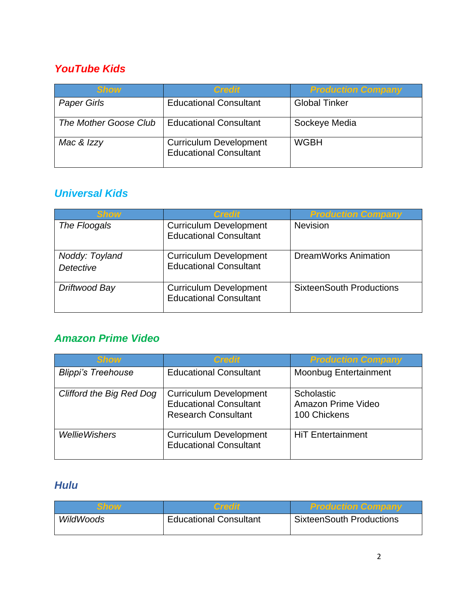### *YouTube Kids*

| <b>Show</b>           | <b>Credit</b>                                                  | <b>Production Company</b> |
|-----------------------|----------------------------------------------------------------|---------------------------|
| <b>Paper Girls</b>    | <b>Educational Consultant</b>                                  | <b>Global Tinker</b>      |
| The Mother Goose Club | <b>Educational Consultant</b>                                  | Sockeye Media             |
| Mac & Izzy            | <b>Curriculum Development</b><br><b>Educational Consultant</b> | <b>WGBH</b>               |

#### *Universal Kids*

| <b>Show</b>                 | Credit                                                         | <b>Production Company</b>       |
|-----------------------------|----------------------------------------------------------------|---------------------------------|
| The Floogals                | <b>Curriculum Development</b><br><b>Educational Consultant</b> | <b>Nevision</b>                 |
| Noddy: Toyland<br>Detective | <b>Curriculum Development</b><br><b>Educational Consultant</b> | <b>DreamWorks Animation</b>     |
| Driftwood Bay               | <b>Curriculum Development</b><br><b>Educational Consultant</b> | <b>SixteenSouth Productions</b> |

#### *Amazon Prime Video*

| <b>Show</b>                     | <b>Credit</b>                                                                                | <b>Production Company</b>                        |
|---------------------------------|----------------------------------------------------------------------------------------------|--------------------------------------------------|
| <b>Blippi's Treehouse</b>       | <b>Educational Consultant</b>                                                                | <b>Moonbug Entertainment</b>                     |
| <b>Clifford the Big Red Dog</b> | <b>Curriculum Development</b><br><b>Educational Consultant</b><br><b>Research Consultant</b> | Scholastic<br>Amazon Prime Video<br>100 Chickens |
| <b>WellieWishers</b>            | <b>Curriculum Development</b><br><b>Educational Consultant</b>                               | <b>HiT Entertainment</b>                         |

### *Hulu*

| Show      | Creont                        | <b>Production Company</b>       |
|-----------|-------------------------------|---------------------------------|
| WildWoods | <b>Educational Consultant</b> | <b>SixteenSouth Productions</b> |
|           |                               |                                 |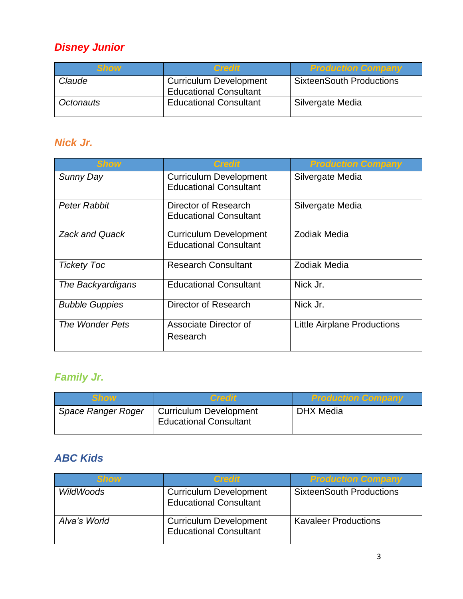# *Disney Junior*

| <b>Show</b> | <b>Credit</b>                                                  | <b>Production Company</b>       |
|-------------|----------------------------------------------------------------|---------------------------------|
| Claude      | <b>Curriculum Development</b><br><b>Educational Consultant</b> | <b>SixteenSouth Productions</b> |
| Octonauts   | <b>Educational Consultant</b>                                  | Silvergate Media                |

## *Nick Jr.*

| <b>Show</b>           | <b>Credit</b>                                                  | <b>Production Company</b>          |
|-----------------------|----------------------------------------------------------------|------------------------------------|
| Sunny Day             | <b>Curriculum Development</b><br><b>Educational Consultant</b> | Silvergate Media                   |
| Peter Rabbit          | Director of Research<br><b>Educational Consultant</b>          | Silvergate Media                   |
| <b>Zack and Quack</b> | <b>Curriculum Development</b><br><b>Educational Consultant</b> | Zodiak Media                       |
| <b>Tickety Toc</b>    | <b>Research Consultant</b>                                     | Zodiak Media                       |
| The Backyardigans     | <b>Educational Consultant</b>                                  | Nick Jr.                           |
| <b>Bubble Guppies</b> | Director of Research                                           | Nick Jr.                           |
| The Wonder Pets       | Associate Director of<br>Research                              | <b>Little Airplane Productions</b> |

# *Family Jr.*

| <b>Show</b>               | <b>Credit</b>                                                  | <b>Production Company</b> |
|---------------------------|----------------------------------------------------------------|---------------------------|
| <b>Space Ranger Roger</b> | <b>Curriculum Development</b><br><b>Educational Consultant</b> | DHX Media                 |

## *ABC Kids*

| Show         | <b>Credit</b>                                                  | <b>Production Company</b>       |
|--------------|----------------------------------------------------------------|---------------------------------|
| WildWoods    | <b>Curriculum Development</b><br><b>Educational Consultant</b> | <b>SixteenSouth Productions</b> |
| Alva's World | <b>Curriculum Development</b><br><b>Educational Consultant</b> | <b>Kavaleer Productions</b>     |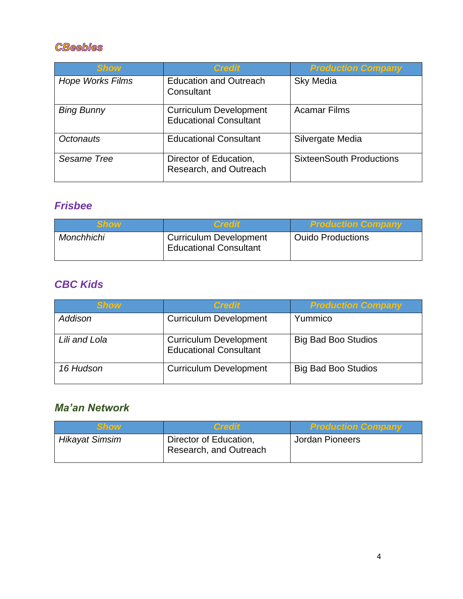#### **CBeebies**

| <b>Show</b>             | <b>Credit</b>                                                  | <b>Production Company</b>       |
|-------------------------|----------------------------------------------------------------|---------------------------------|
| <b>Hope Works Films</b> | <b>Education and Outreach</b><br>Consultant                    | <b>Sky Media</b>                |
| <b>Bing Bunny</b>       | <b>Curriculum Development</b><br><b>Educational Consultant</b> | <b>Acamar Films</b>             |
| Octonauts               | <b>Educational Consultant</b>                                  | Silvergate Media                |
| Sesame Tree             | Director of Education,<br>Research, and Outreach               | <b>SixteenSouth Productions</b> |

## *Frisbee*

| Show       | <b>Credit</b>                                                  | <b>Production Company</b> |
|------------|----------------------------------------------------------------|---------------------------|
| Monchhichi | <b>Curriculum Development</b><br><b>Educational Consultant</b> | <b>Ouido Productions</b>  |

## *CBC Kids*

| <b>Show</b>   | <b>Credit</b>                                                  | <b>Production Company</b>  |
|---------------|----------------------------------------------------------------|----------------------------|
| Addison       | <b>Curriculum Development</b>                                  | Yummico                    |
| Lili and Lola | <b>Curriculum Development</b><br><b>Educational Consultant</b> | <b>Big Bad Boo Studios</b> |
| 16 Hudson     | <b>Curriculum Development</b>                                  | <b>Big Bad Boo Studios</b> |

## *Ma'an Network*

| Show                  | <b>Credit</b>                                    | <b>Production Company</b> |
|-----------------------|--------------------------------------------------|---------------------------|
| <b>Hikayat Simsim</b> | Director of Education,<br>Research, and Outreach | Jordan Pioneers           |